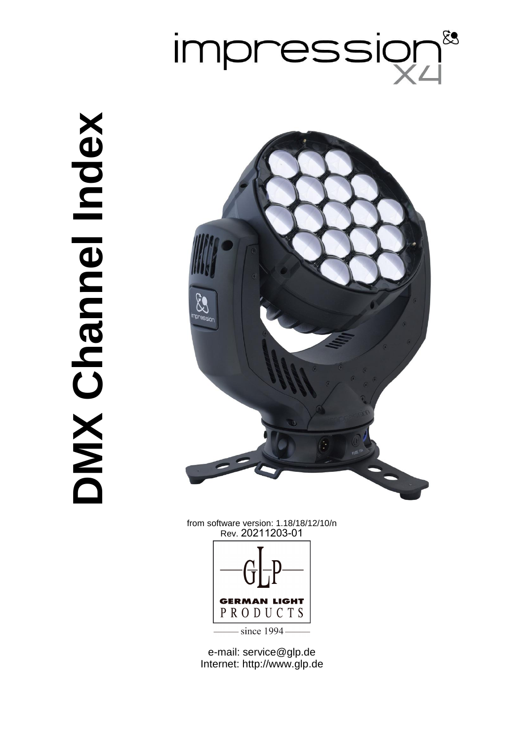

# **Nebul lennand XWO DMX Channel Index**



from software version: 1.18/18/12/10/n Rev. 20211203-01



e-mail: service@glp.de Internet: http://www.glp.de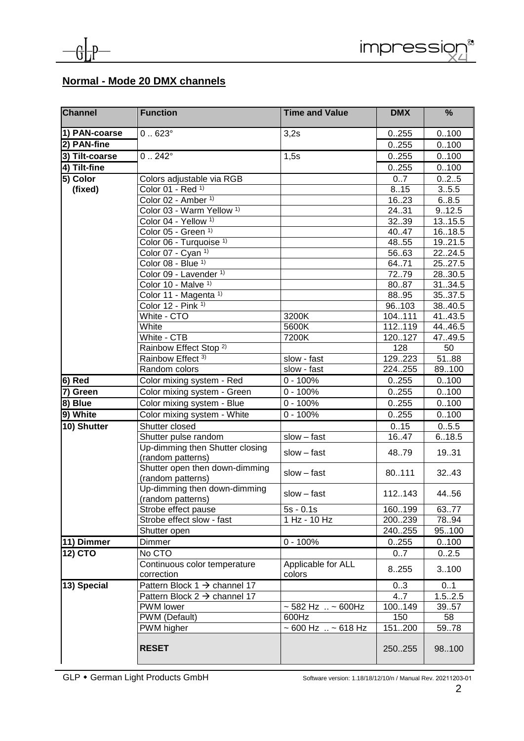

### **Normal - Mode 20 DMX channels**

| <b>Channel</b> | <b>Function</b>                                         | <b>Time and Value</b>              | <b>DMX</b>    | %               |
|----------------|---------------------------------------------------------|------------------------------------|---------------|-----------------|
| 1) PAN-coarse  | $0.623^\circ$                                           | 3,2s                               | 0.255         | 0.100           |
| 2) PAN-fine    |                                                         |                                    | 0.255         | 0.100           |
| 3) Tilt-coarse | $0.242^{\circ}$                                         | 1,5s                               | 0.255         | 0.100           |
| 4) Tilt-fine   |                                                         |                                    | 0.255         | 0.100           |
| 5) Color       | Colors adjustable via RGB                               |                                    | 0.7           | 0.2.5           |
| (fixed)        | Color 01 - Red 1)                                       |                                    | 8.15          | 3.5.5           |
|                | Color 02 - Amber 1)                                     |                                    | 1623          | 6.8.5           |
|                | Color 03 - Warm Yellow <sup>1)</sup>                    |                                    | 24.31         | 9.12.5          |
|                | Color 04 - Yellow <sup>1)</sup>                         |                                    | 3239          | 13.15.5         |
|                | Color 05 - Green 1)                                     |                                    | 40.47         | 16.18.5         |
|                | Color 06 - Turquoise 1)                                 |                                    | 48.55         | 19.21.5         |
|                | Color 07 - Cyan $1$                                     |                                    | 5663          | 2224.5          |
|                | Color 08 - Blue 1)                                      |                                    | 64.71         | 25.27.5         |
|                | Color 09 - Lavender 1)                                  |                                    | 7279          | 28.30.5         |
|                | Color 10 - Malve 1)                                     |                                    | 8087          | 31.34.5         |
|                | Color 11 - Magenta 1)                                   |                                    | 8895          | 35.37.5         |
|                | Color 12 - Pink $\frac{1}{1}$                           |                                    | 96103         | 38.40.5         |
|                | White - CTO                                             | 3200K                              | 104111        | 41.43.5         |
|                | White                                                   | 5600K                              | 112119        | 44.46.5         |
|                | White - CTB                                             | 7200K                              | 120127<br>128 | 47.49.5         |
|                | Rainbow Effect Stop <sup>2)</sup><br>Rainbow Effect 3)  | slow - fast                        | 129223        | 50<br>5188      |
|                | Random colors                                           | slow - fast                        | 224255        | 89.100          |
| $ 6)$ Red      | Color mixing system - Red                               | $0 - 100%$                         | 0.255         | 0.100           |
| 7) Green       | Color mixing system - Green                             | $0 - 100%$                         | 0.255         | 0.100           |
| 8) Blue        | Color mixing system - Blue                              | $0 - 100%$                         | 0.255         | 0.100           |
| 9) White       |                                                         | $\overline{0}$ - 100%              | 0.255         | 0.100           |
|                | Color mixing system - White                             |                                    |               |                 |
| 10) Shutter    | Shutter closed                                          | $slow - fast$                      | 0.15<br>16.47 | 0.5.5<br>6.18.5 |
|                | Shutter pulse random<br>Up-dimming then Shutter closing | $slow - fast$                      | 4879          | 19.31           |
|                | (random patterns)<br>Shutter open then down-dimming     |                                    |               |                 |
|                | (random patterns)                                       | $slow - fast$                      | 80.111        | 32.43           |
|                | Up-dimming then down-dimming<br>(random patterns)       | $slow - fast$                      | 112.143       | 44.56           |
|                | Strobe effect pause                                     | $5s - 0.1s$                        | 160199        | 63.77           |
|                | Strobe effect slow - fast                               | 1 Hz - 10 Hz                       | 200239        | 78.94           |
|                | Shutter open                                            |                                    | 240255        | 95100           |
| 11) Dimmer     | Dimmer                                                  | $0 - 100%$                         | 0.255         | 0.100           |
| 12) CTO        | No CTO                                                  |                                    | 07            | 0.2.5           |
|                | Continuous color temperature                            | Applicable for ALL                 | 8.255         | 3100            |
|                | correction                                              | colors                             |               |                 |
| 13) Special    | Pattern Block $1 \rightarrow$ channel 17                |                                    | 03            | 01              |
|                | Pattern Block $2 \rightarrow$ channel 17                |                                    | 4.7           | 1.52.5          |
|                | PWM lower                                               | $\sim$ 582 Hz $\sim$ 600Hz         | 100149        | 39.57           |
|                | PWM (Default)                                           | 600Hz                              | 150           | 58              |
|                | PWM higher                                              | $\sim 600$ Hz $\ldots \sim 618$ Hz | 151200        | 59.78           |
|                | <b>RESET</b>                                            |                                    | 250255        | 98.100          |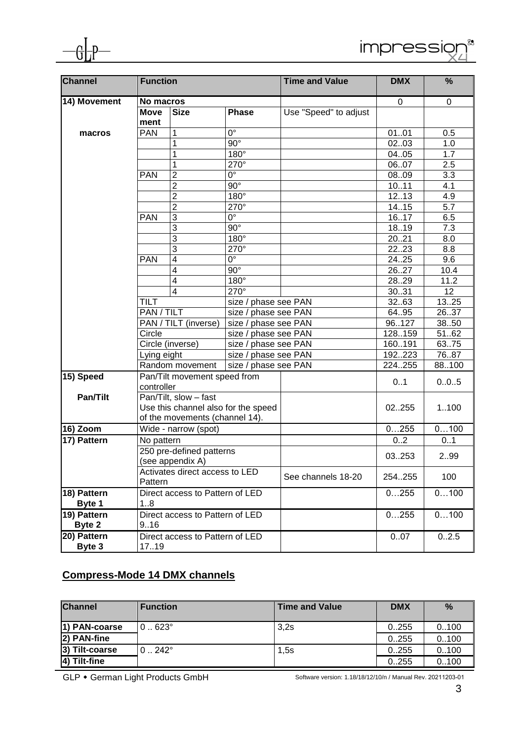

| <b>Channel</b> | <b>Function</b>                |                                                    |                        | <b>Time and Value</b> | <b>DMX</b>  | %         |
|----------------|--------------------------------|----------------------------------------------------|------------------------|-----------------------|-------------|-----------|
| 14) Movement   | No macros                      |                                                    |                        |                       | $\mathbf 0$ | $\pmb{0}$ |
|                | <b>Move</b>                    | <b>Size</b>                                        | <b>Phase</b>           | Use "Speed" to adjust |             |           |
|                | ment                           |                                                    |                        |                       |             |           |
| macros         | <b>PAN</b>                     | 1                                                  | $0^{\circ}$            |                       | 0101        | 0.5       |
|                |                                | 1                                                  | $90^\circ$             |                       | 0203        | 1.0       |
|                |                                | 1                                                  | 180°                   |                       | 0405        | 1.7       |
|                |                                | 1                                                  | 270°                   |                       | 0607        | 2.5       |
|                | <b>PAN</b>                     | $\overline{2}$                                     | $\overline{0^{\circ}}$ |                       | 0809        | 3.3       |
|                |                                | $\overline{c}$                                     | $90^\circ$             |                       | 1011        | 4.1       |
|                |                                | $\overline{2}$                                     | $180^\circ$            |                       | 12.13       | 4.9       |
|                |                                | $\overline{2}$                                     | 270°                   |                       | 14.15       | 5.7       |
|                | <b>PAN</b>                     | $\overline{3}$                                     | $\overline{0^{\circ}}$ |                       | 1617        | 6.5       |
|                |                                | 3                                                  | $90^\circ$             |                       | 1819        | 7.3       |
|                |                                | $\overline{3}$                                     | $180^\circ$            |                       | 2021        | 8.0       |
|                |                                | $\overline{3}$                                     | 270°                   |                       | 2223        | 8.8       |
|                | <b>PAN</b>                     | $\overline{\mathbf{4}}$                            | $\overline{0^{\circ}}$ |                       | 2425        | 9.6       |
|                |                                | $\overline{\mathbf{4}}$                            | $90^\circ$             |                       | 2627        | 10.4      |
|                |                                | $\overline{\mathbf{4}}$                            | 180°                   |                       | 2829        | 11.2      |
|                |                                | $\overline{4}$                                     | 270°                   |                       | 3031        | 12        |
|                | <b>TILT</b>                    |                                                    | size / phase see PAN   |                       | 3263        | 1325      |
|                | PAN / TILT                     |                                                    | size / phase see PAN   |                       | 64.95       | 2637      |
|                |                                | PAN / TILT (inverse)<br>size / phase see PAN       |                        |                       | 96127       | 3850      |
|                | Circle                         |                                                    | size / phase see PAN   |                       | 128159      | 5162      |
|                |                                | Circle (inverse)                                   | size / phase see PAN   |                       | 160191      | 63.75     |
|                | Lying eight                    |                                                    | size / phase see PAN   |                       | 192223      | 7687      |
|                |                                | Random movement                                    | size / phase see PAN   |                       | 224255      | 88100     |
| 15) Speed      |                                | Pan/Tilt movement speed from                       |                        |                       |             |           |
|                | controller                     |                                                    |                        |                       | 0.1         | 0.0.5     |
| Pan/Tilt       |                                | Pan/Tilt, slow - fast                              |                        |                       |             |           |
|                |                                | Use this channel also for the speed                |                        |                       | 02255       | 1100      |
|                | of the movements (channel 14). |                                                    |                        |                       |             |           |
| 16) Zoom       | Wide - narrow (spot)           |                                                    |                        |                       | 0255        | 0100      |
| 17) Pattern    | No pattern                     |                                                    |                        |                       | 0.2         | 01        |
|                | 250 pre-defined patterns       |                                                    |                        |                       | 299         |           |
|                |                                | (see appendix A)<br>Activates direct access to LED |                        |                       | 03253       |           |
|                |                                |                                                    |                        | See channels 18-20    |             | 100       |
|                | Pattern                        |                                                    |                        | 254255                |             |           |
| 18) Pattern    |                                | Direct access to Pattern of LED                    |                        |                       | 0255        | 0100      |
| Byte 1         | 18                             |                                                    |                        |                       |             |           |
| 19) Pattern    |                                | Direct access to Pattern of LED                    |                        |                       | 0255        | 0100      |
| Byte 2         | 9.16                           |                                                    |                        |                       |             |           |
| 20) Pattern    |                                | Direct access to Pattern of LED                    |                        |                       | 0.07        | 0.2.5     |
| Byte 3         | 17.19                          |                                                    |                        |                       |             |           |

# **Compress-Mode 14 DMX channels**

| <b>Channel</b> | <b>Function</b> | <b>Time and Value</b> | <b>DMX</b> | $\%$  |
|----------------|-----------------|-----------------------|------------|-------|
| 1) PAN-coarse  | $0.623^{\circ}$ | 3.2s                  | 0.255      | 0.100 |
| 2) PAN-fine    |                 |                       | 0.255      | 0.100 |
| 3) Tilt-coarse | $0.242^{\circ}$ | 1,5s                  | 0.255      | 0.100 |
| 4) Tilt-fine   |                 |                       | 0.255      | 0.100 |

GLP • German Light Products GmbH

Software version: 1.18/18/12/10/n / Manual Rev. 20211203-01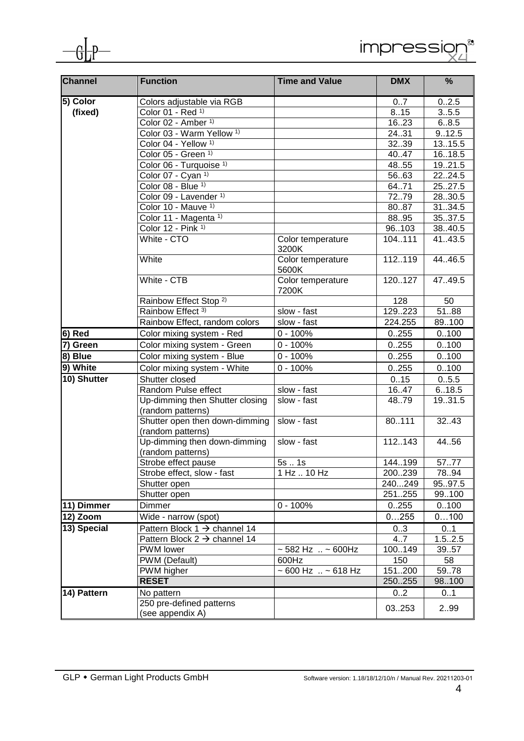

| Channel                | <b>Function</b>                                      | <b>Time and Value</b>              | <b>DMX</b> | %       |
|------------------------|------------------------------------------------------|------------------------------------|------------|---------|
| $\overline{5}$ ) Color | Colors adjustable via RGB                            |                                    | 07         | 0.2.5   |
| (fixed)                | Color 01 - Red 1)                                    |                                    | 8.15       | 3.5.5   |
|                        | Color 02 - Amber <sup>1)</sup>                       |                                    | 1623       | 6.8.5   |
|                        | Color 03 - Warm Yellow <sup>1)</sup>                 |                                    | 24.31      | 9.12.5  |
|                        | Color 04 - Yellow <sup>1)</sup>                      |                                    | 3239       | 1315.5  |
|                        | Color 05 - Green 1)                                  |                                    | 40.47      | 16.18.5 |
|                        | Color 06 - Turquoise 1)                              |                                    | 48.55      | 19.21.5 |
|                        | Color 07 - Cyan 1)                                   |                                    | 5663       | 2224.5  |
|                        | Color 08 - Blue 1)                                   |                                    | 64.71      | 25.27.5 |
|                        | Color 09 - Lavender 1)                               |                                    | 7279       | 28.30.5 |
|                        | Color 10 - Mauve 1)                                  |                                    | 8087       | 31.34.5 |
|                        | Color 11 - Magenta 1)                                |                                    | 8895       | 35.37.5 |
|                        | Color 12 - Pink 1)                                   |                                    | 96103      | 38.40.5 |
|                        | White - CTO                                          | Color temperature<br>3200K         | 104111     | 41.43.5 |
|                        | White                                                | Color temperature<br>5600K         | 112119     | 44.46.5 |
|                        | White - CTB                                          | Color temperature<br>7200K         | 120127     | 47.49.5 |
|                        | Rainbow Effect Stop <sup>2)</sup>                    |                                    | 128        | 50      |
|                        | Rainbow Effect 3)                                    | slow - fast                        | 129223     | 5188    |
|                        | Rainbow Effect, random colors                        | slow - fast                        | 224.255    | 89.100  |
| 6) Red                 | Color mixing system - Red                            | $0 - 100%$                         | 0.255      | 0.100   |
| 7) Green               | Color mixing system - Green                          | $0 - 100%$                         | 0.255      | 0.100   |
| $\overline{8}$ ) Blue  | Color mixing system - Blue                           | $0 - 100%$                         | 0.255      | 0.100   |
| 9) White               | Color mixing system - White                          | $\overline{0}$ - 100%              | 0.255      | 0.100   |
| 10) Shutter            | Shutter closed                                       |                                    | 0.15       | 0.5.5   |
|                        | Random Pulse effect                                  | slow - fast                        | 16.47      | 6.18.5  |
|                        | Up-dimming then Shutter closing<br>(random patterns) | slow - fast                        | 48.79      | 19.31.5 |
|                        | Shutter open then down-dimming<br>(random patterns)  | slow - fast                        | 80111      | 32.43   |
|                        | Up-dimming then down-dimming<br>(random patterns)    | slow - fast                        | 112143     | 44.56   |
|                        | Strobe effect pause                                  | 5s1s                               | 144.199    | 5777    |
|                        | Strobe effect, slow - fast                           | 1 Hz  10 Hz                        | 200239     | 78.94   |
|                        | Shutter open                                         |                                    | 240249     | 95.97.5 |
|                        | Shutter open                                         |                                    | 251255     | 99.100  |
| 11) Dimmer             | Dimmer                                               | $0 - 100%$                         | 0.255      | 0.100   |
| $12)$ Zoom             | Wide - narrow (spot)                                 |                                    | 0255       | 0100    |
| 13) Special            | Pattern Block $1 \rightarrow$ channel 14             |                                    | 03         | 0.1     |
|                        | Pattern Block $2 \rightarrow$ channel 14             |                                    | 4.7        | 1.52.5  |
|                        | PWM lower                                            | ~ 582 Hz  ~ 600Hz                  | 100149     | 39.57   |
|                        | PWM (Default)                                        | 600Hz                              | 150        | 58      |
|                        | PWM higher                                           | $\sim 600$ Hz $\ldots \sim 618$ Hz | 151200     | 59.78   |
|                        | <b>RESET</b>                                         |                                    | 250255     | 98.100  |
| 14) Pattern            | No pattern                                           |                                    | 02         | 01      |
|                        | 250 pre-defined patterns                             |                                    |            |         |
|                        | (see appendix A)                                     |                                    | 03253      | 299     |

impression

 $\int_{0}^{\xi_{3}}$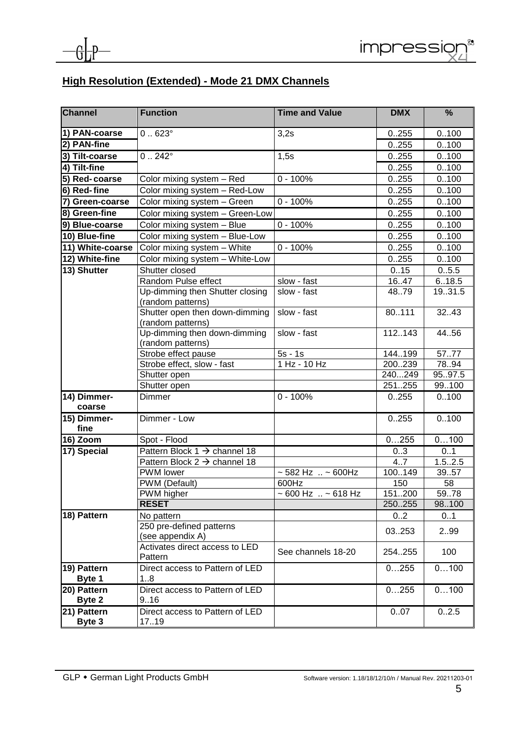

## **High Resolution (Extended) - Mode 21 DMX Channels**

| <b>Channel</b>        | <b>Function</b>                                      | <b>Time and Value</b>              | <b>DMX</b>    | %                          |
|-----------------------|------------------------------------------------------|------------------------------------|---------------|----------------------------|
| 1) PAN-coarse         | $0.623^\circ$                                        | 3,2s                               | 0.255         | 0.100                      |
| 2) PAN-fine           |                                                      |                                    | 0.255         | 0.100                      |
| 3) Tilt-coarse        | $0.242^{\circ}$                                      | 1,5s                               | 0.255         | 0.100                      |
| 4) Tilt-fine          |                                                      |                                    | 0.255         | 0.100                      |
| 5) Red-coarse         | Color mixing system - Red                            | $0 - 100%$                         | 0.255         | 0.100                      |
| 6) Red-fine           | Color mixing system - Red-Low                        |                                    | 0.255         | 0.100                      |
| 7) Green-coarse       | Color mixing system - Green                          | $0 - 100%$                         | 0.255         | 0.100                      |
| 8) Green-fine         | Color mixing system - Green-Low                      |                                    | 0.255         | 0.100                      |
| 9) Blue-coarse        | Color mixing system - Blue                           | $0 - 100%$                         | 0.255         | 0.100                      |
| 10) Blue-fine         | Color mixing system - Blue-Low                       |                                    | 0.255         | 0.100                      |
| 11) White-coarse      | Color mixing system - White                          | $0 - 100%$                         | 0.255         | 0.100                      |
| 12) White-fine        | Color mixing system - White-Low                      |                                    | 0.255         | 0.100                      |
| 13) Shutter           | Shutter closed                                       |                                    | 0.15          | 0.5.5                      |
|                       | Random Pulse effect                                  | slow - fast                        | 16.47         | 6.18.5                     |
|                       | Up-dimming then Shutter closing<br>(random patterns) | slow - fast                        | 4879          | 19.31.5                    |
|                       | Shutter open then down-dimming<br>(random patterns)  | slow - fast                        | 80111         | 32.43                      |
|                       | Up-dimming then down-dimming<br>(random patterns)    | slow - fast                        | 112.143       | 44.56                      |
|                       | Strobe effect pause                                  | $5s - 1s$                          | 144199        | 5777                       |
|                       | Strobe effect, slow - fast                           | 1 Hz - 10 Hz                       | 200.239       | 78.94                      |
|                       | Shutter open                                         |                                    | 240249        | 95.97.5                    |
|                       | Shutter open                                         |                                    | 251255        | 99.100                     |
| 14) Dimmer-<br>coarse | Dimmer                                               | $0 - 100%$                         | 0255          | 0.100                      |
| 15) Dimmer-<br>fine   | Dimmer - Low                                         |                                    | 0.255         | 0.100                      |
| 16) Zoom              | Spot - Flood                                         |                                    | 0255          | 0100                       |
| 17) Special           | Pattern Block $1 \rightarrow$ channel 18             |                                    | 03            | 0.1                        |
|                       | Pattern Block $2 \rightarrow$ channel 18             |                                    | 4.7           | 1.52.5                     |
|                       | PWM lower                                            | $~582$ Hz $~.~5600$ Hz             | 100149        | 3957                       |
|                       | PWM (Default)                                        | 600Hz                              | 150           | 58                         |
|                       | PWM higher<br><b>RESET</b>                           | $\sim 600$ Hz $\ldots \sim 618$ Hz | 151200        | 5978                       |
|                       |                                                      |                                    | 250255<br>0.2 | 98.100<br>$0.\overline{1}$ |
| 18) Pattern           | No pattern<br>250 pre-defined patterns               |                                    |               |                            |
|                       | (see appendix A)                                     |                                    | 03253         | 299                        |
|                       | Activates direct access to LED<br>Pattern            | See channels 18-20                 | 254.255       | 100                        |
| 19) Pattern<br>Byte 1 | Direct access to Pattern of LED<br>18                |                                    | 0255          | 0100                       |
| 20) Pattern<br>Byte 2 | Direct access to Pattern of LED<br>9.16              |                                    | 0255          | 0100                       |
| 21) Pattern<br>Byte 3 | Direct access to Pattern of LED<br>17.19             |                                    | 0.07          | 0.2.5                      |